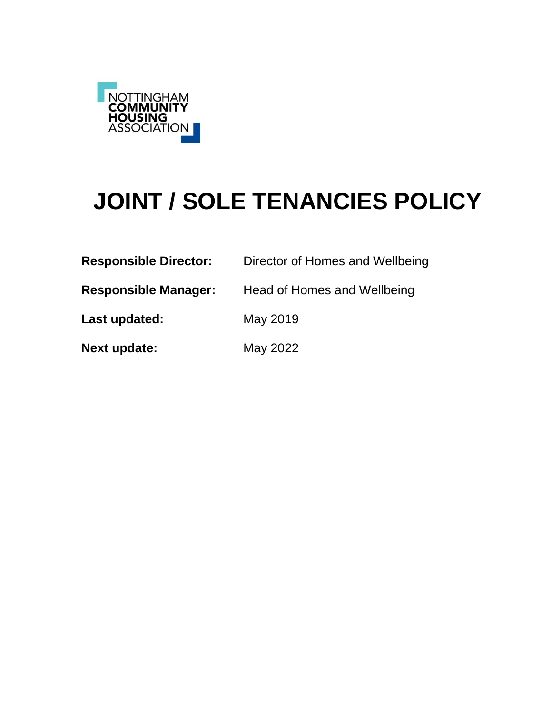

# **JOINT / SOLE TENANCIES POLICY**

| <b>Responsible Director:</b> | Director of Homes and Wellbeing |
|------------------------------|---------------------------------|
| <b>Responsible Manager:</b>  | Head of Homes and Wellbeing     |
| Last updated:                | May 2019                        |
| <b>Next update:</b>          | May 2022                        |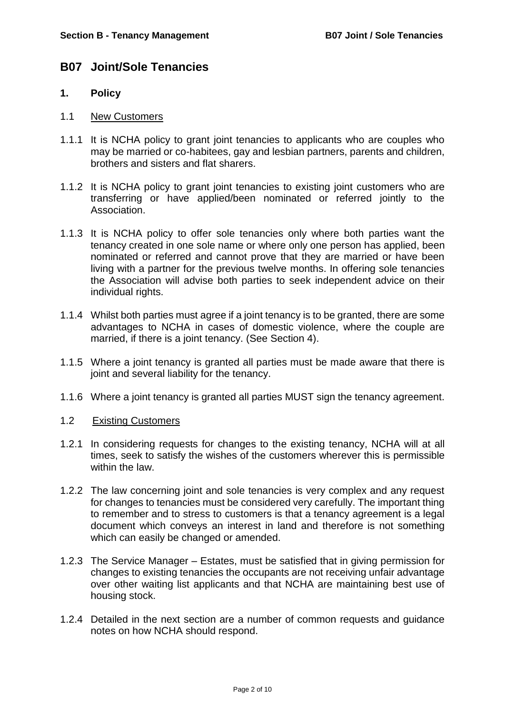# **B07 Joint/Sole Tenancies**

#### **1. Policy**

- 1.1 New Customers
- 1.1.1 It is NCHA policy to grant joint tenancies to applicants who are couples who may be married or co-habitees, gay and lesbian partners, parents and children, brothers and sisters and flat sharers.
- 1.1.2 It is NCHA policy to grant joint tenancies to existing joint customers who are transferring or have applied/been nominated or referred jointly to the Association.
- 1.1.3 It is NCHA policy to offer sole tenancies only where both parties want the tenancy created in one sole name or where only one person has applied, been nominated or referred and cannot prove that they are married or have been living with a partner for the previous twelve months. In offering sole tenancies the Association will advise both parties to seek independent advice on their individual rights.
- 1.1.4 Whilst both parties must agree if a joint tenancy is to be granted, there are some advantages to NCHA in cases of domestic violence, where the couple are married, if there is a joint tenancy. (See Section 4).
- 1.1.5 Where a joint tenancy is granted all parties must be made aware that there is joint and several liability for the tenancy.
- 1.1.6 Where a joint tenancy is granted all parties MUST sign the tenancy agreement.

#### 1.2 Existing Customers

- 1.2.1 In considering requests for changes to the existing tenancy, NCHA will at all times, seek to satisfy the wishes of the customers wherever this is permissible within the law.
- 1.2.2 The law concerning joint and sole tenancies is very complex and any request for changes to tenancies must be considered very carefully. The important thing to remember and to stress to customers is that a tenancy agreement is a legal document which conveys an interest in land and therefore is not something which can easily be changed or amended.
- 1.2.3 The Service Manager Estates, must be satisfied that in giving permission for changes to existing tenancies the occupants are not receiving unfair advantage over other waiting list applicants and that NCHA are maintaining best use of housing stock.
- 1.2.4 Detailed in the next section are a number of common requests and guidance notes on how NCHA should respond.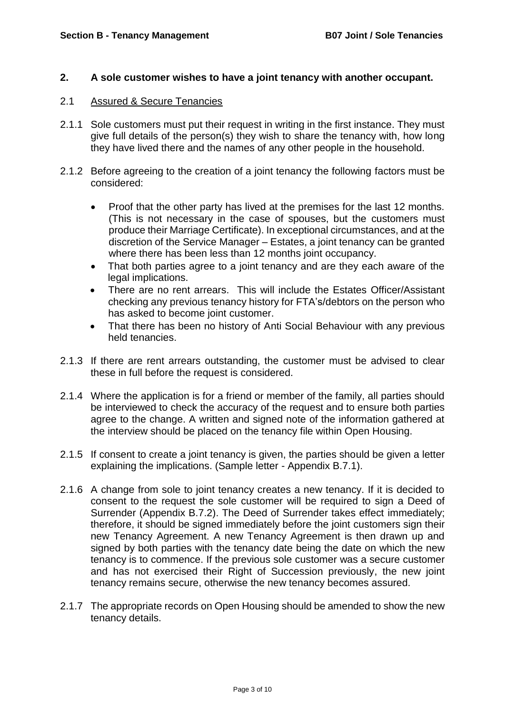### **2. A sole customer wishes to have a joint tenancy with another occupant.**

# 2.1 Assured & Secure Tenancies

- 2.1.1 Sole customers must put their request in writing in the first instance. They must give full details of the person(s) they wish to share the tenancy with, how long they have lived there and the names of any other people in the household.
- 2.1.2 Before agreeing to the creation of a joint tenancy the following factors must be considered:
	- Proof that the other party has lived at the premises for the last 12 months. (This is not necessary in the case of spouses, but the customers must produce their Marriage Certificate). In exceptional circumstances, and at the discretion of the Service Manager – Estates, a joint tenancy can be granted where there has been less than 12 months joint occupancy.
	- That both parties agree to a joint tenancy and are they each aware of the legal implications.
	- There are no rent arrears. This will include the Estates Officer/Assistant checking any previous tenancy history for FTA's/debtors on the person who has asked to become joint customer.
	- That there has been no history of Anti Social Behaviour with any previous held tenancies.
- 2.1.3 If there are rent arrears outstanding, the customer must be advised to clear these in full before the request is considered.
- 2.1.4 Where the application is for a friend or member of the family, all parties should be interviewed to check the accuracy of the request and to ensure both parties agree to the change. A written and signed note of the information gathered at the interview should be placed on the tenancy file within Open Housing.
- 2.1.5 If consent to create a joint tenancy is given, the parties should be given a letter explaining the implications. (Sample letter - Appendix B.7.1).
- 2.1.6 A change from sole to joint tenancy creates a new tenancy. If it is decided to consent to the request the sole customer will be required to sign a Deed of Surrender (Appendix B.7.2). The Deed of Surrender takes effect immediately; therefore, it should be signed immediately before the joint customers sign their new Tenancy Agreement. A new Tenancy Agreement is then drawn up and signed by both parties with the tenancy date being the date on which the new tenancy is to commence. If the previous sole customer was a secure customer and has not exercised their Right of Succession previously, the new joint tenancy remains secure, otherwise the new tenancy becomes assured.
- 2.1.7 The appropriate records on Open Housing should be amended to show the new tenancy details.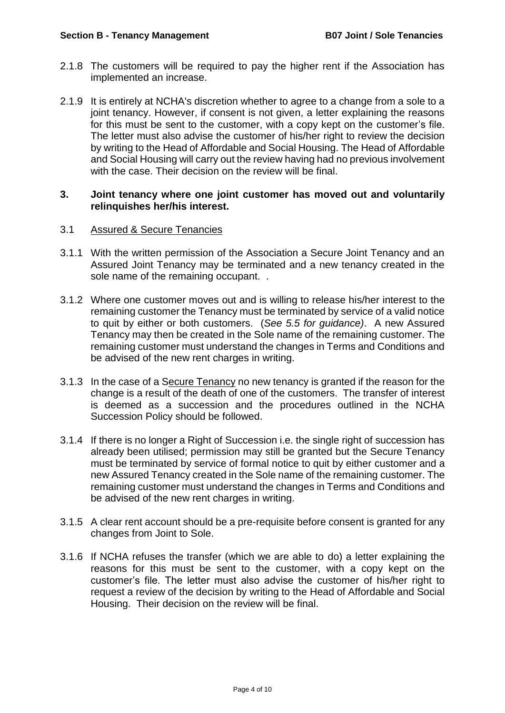- 2.1.8 The customers will be required to pay the higher rent if the Association has implemented an increase.
- 2.1.9 It is entirely at NCHA's discretion whether to agree to a change from a sole to a joint tenancy. However, if consent is not given, a letter explaining the reasons for this must be sent to the customer, with a copy kept on the customer's file. The letter must also advise the customer of his/her right to review the decision by writing to the Head of Affordable and Social Housing. The Head of Affordable and Social Housing will carry out the review having had no previous involvement with the case. Their decision on the review will be final.

#### **3. Joint tenancy where one joint customer has moved out and voluntarily relinquishes her/his interest.**

### 3.1 Assured & Secure Tenancies

- 3.1.1 With the written permission of the Association a Secure Joint Tenancy and an Assured Joint Tenancy may be terminated and a new tenancy created in the sole name of the remaining occupant. .
- 3.1.2 Where one customer moves out and is willing to release his/her interest to the remaining customer the Tenancy must be terminated by service of a valid notice to quit by either or both customers. (*See 5.5 for guidance)*. A new Assured Tenancy may then be created in the Sole name of the remaining customer. The remaining customer must understand the changes in Terms and Conditions and be advised of the new rent charges in writing.
- 3.1.3 In the case of a Secure Tenancy no new tenancy is granted if the reason for the change is a result of the death of one of the customers. The transfer of interest is deemed as a succession and the procedures outlined in the NCHA Succession Policy should be followed.
- 3.1.4 If there is no longer a Right of Succession i.e. the single right of succession has already been utilised; permission may still be granted but the Secure Tenancy must be terminated by service of formal notice to quit by either customer and a new Assured Tenancy created in the Sole name of the remaining customer. The remaining customer must understand the changes in Terms and Conditions and be advised of the new rent charges in writing.
- 3.1.5 A clear rent account should be a pre-requisite before consent is granted for any changes from Joint to Sole.
- 3.1.6 If NCHA refuses the transfer (which we are able to do) a letter explaining the reasons for this must be sent to the customer, with a copy kept on the customer's file. The letter must also advise the customer of his/her right to request a review of the decision by writing to the Head of Affordable and Social Housing. Their decision on the review will be final.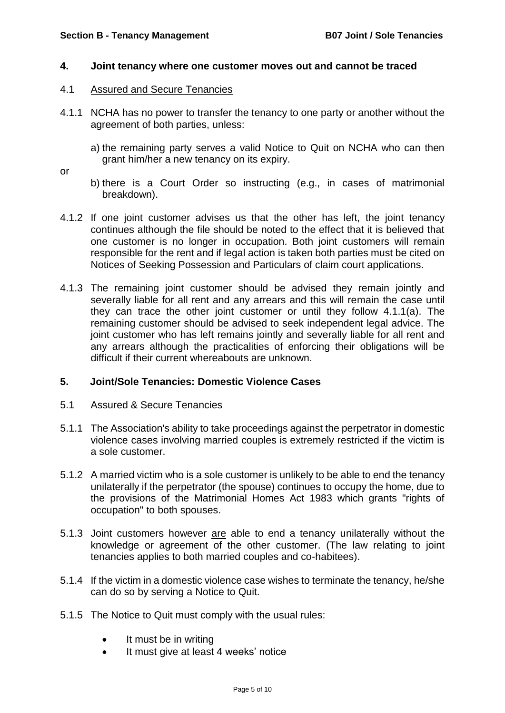#### **4. Joint tenancy where one customer moves out and cannot be traced**

- 4.1 Assured and Secure Tenancies
- 4.1.1 NCHA has no power to transfer the tenancy to one party or another without the agreement of both parties, unless:
	- a) the remaining party serves a valid Notice to Quit on NCHA who can then grant him/her a new tenancy on its expiry.

or

- b) there is a Court Order so instructing (e.g., in cases of matrimonial breakdown).
- 4.1.2 If one joint customer advises us that the other has left, the joint tenancy continues although the file should be noted to the effect that it is believed that one customer is no longer in occupation. Both joint customers will remain responsible for the rent and if legal action is taken both parties must be cited on Notices of Seeking Possession and Particulars of claim court applications.
- 4.1.3 The remaining joint customer should be advised they remain jointly and severally liable for all rent and any arrears and this will remain the case until they can trace the other joint customer or until they follow 4.1.1(a). The remaining customer should be advised to seek independent legal advice. The joint customer who has left remains jointly and severally liable for all rent and any arrears although the practicalities of enforcing their obligations will be difficult if their current whereabouts are unknown.

#### **5. Joint/Sole Tenancies: Domestic Violence Cases**

#### 5.1 Assured & Secure Tenancies

- 5.1.1 The Association's ability to take proceedings against the perpetrator in domestic violence cases involving married couples is extremely restricted if the victim is a sole customer.
- 5.1.2 A married victim who is a sole customer is unlikely to be able to end the tenancy unilaterally if the perpetrator (the spouse) continues to occupy the home, due to the provisions of the Matrimonial Homes Act 1983 which grants "rights of occupation" to both spouses.
- 5.1.3 Joint customers however are able to end a tenancy unilaterally without the knowledge or agreement of the other customer. (The law relating to joint tenancies applies to both married couples and co-habitees).
- 5.1.4 If the victim in a domestic violence case wishes to terminate the tenancy, he/she can do so by serving a Notice to Quit.
- 5.1.5 The Notice to Quit must comply with the usual rules:
	- It must be in writing
	- It must give at least 4 weeks' notice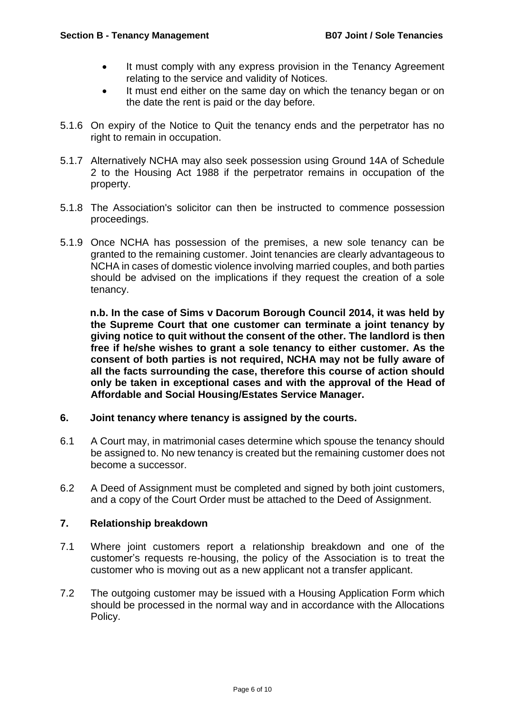- It must comply with any express provision in the Tenancy Agreement relating to the service and validity of Notices.
- It must end either on the same day on which the tenancy began or on the date the rent is paid or the day before.
- 5.1.6 On expiry of the Notice to Quit the tenancy ends and the perpetrator has no right to remain in occupation.
- 5.1.7 Alternatively NCHA may also seek possession using Ground 14A of Schedule 2 to the Housing Act 1988 if the perpetrator remains in occupation of the property.
- 5.1.8 The Association's solicitor can then be instructed to commence possession proceedings.
- 5.1.9 Once NCHA has possession of the premises, a new sole tenancy can be granted to the remaining customer. Joint tenancies are clearly advantageous to NCHA in cases of domestic violence involving married couples, and both parties should be advised on the implications if they request the creation of a sole tenancy.

**n.b. In the case of Sims v Dacorum Borough Council 2014, it was held by the Supreme Court that one customer can terminate a joint tenancy by giving notice to quit without the consent of the other. The landlord is then free if he/she wishes to grant a sole tenancy to either customer. As the consent of both parties is not required, NCHA may not be fully aware of all the facts surrounding the case, therefore this course of action should only be taken in exceptional cases and with the approval of the Head of Affordable and Social Housing/Estates Service Manager.** 

#### **6. Joint tenancy where tenancy is assigned by the courts.**

- 6.1 A Court may, in matrimonial cases determine which spouse the tenancy should be assigned to. No new tenancy is created but the remaining customer does not become a successor.
- 6.2 A Deed of Assignment must be completed and signed by both joint customers, and a copy of the Court Order must be attached to the Deed of Assignment.

# **7. Relationship breakdown**

- 7.1 Where joint customers report a relationship breakdown and one of the customer's requests re-housing, the policy of the Association is to treat the customer who is moving out as a new applicant not a transfer applicant.
- 7.2 The outgoing customer may be issued with a Housing Application Form which should be processed in the normal way and in accordance with the Allocations Policy.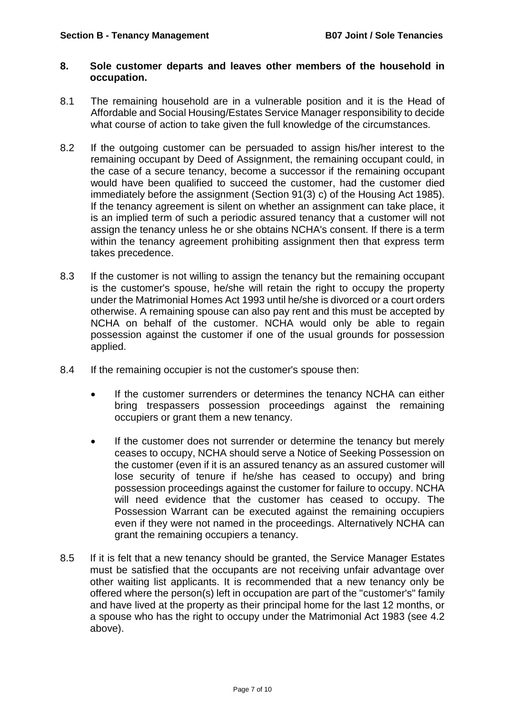#### **8. Sole customer departs and leaves other members of the household in occupation.**

- 8.1 The remaining household are in a vulnerable position and it is the Head of Affordable and Social Housing/Estates Service Manager responsibility to decide what course of action to take given the full knowledge of the circumstances.
- 8.2 If the outgoing customer can be persuaded to assign his/her interest to the remaining occupant by Deed of Assignment, the remaining occupant could, in the case of a secure tenancy, become a successor if the remaining occupant would have been qualified to succeed the customer, had the customer died immediately before the assignment (Section 91(3) c) of the Housing Act 1985). If the tenancy agreement is silent on whether an assignment can take place, it is an implied term of such a periodic assured tenancy that a customer will not assign the tenancy unless he or she obtains NCHA's consent. If there is a term within the tenancy agreement prohibiting assignment then that express term takes precedence.
- 8.3 If the customer is not willing to assign the tenancy but the remaining occupant is the customer's spouse, he/she will retain the right to occupy the property under the Matrimonial Homes Act 1993 until he/she is divorced or a court orders otherwise. A remaining spouse can also pay rent and this must be accepted by NCHA on behalf of the customer. NCHA would only be able to regain possession against the customer if one of the usual grounds for possession applied.
- 8.4 If the remaining occupier is not the customer's spouse then:
	- If the customer surrenders or determines the tenancy NCHA can either bring trespassers possession proceedings against the remaining occupiers or grant them a new tenancy.
	- If the customer does not surrender or determine the tenancy but merely ceases to occupy, NCHA should serve a Notice of Seeking Possession on the customer (even if it is an assured tenancy as an assured customer will lose security of tenure if he/she has ceased to occupy) and bring possession proceedings against the customer for failure to occupy. NCHA will need evidence that the customer has ceased to occupy. The Possession Warrant can be executed against the remaining occupiers even if they were not named in the proceedings. Alternatively NCHA can grant the remaining occupiers a tenancy.
- 8.5 If it is felt that a new tenancy should be granted, the Service Manager Estates must be satisfied that the occupants are not receiving unfair advantage over other waiting list applicants. It is recommended that a new tenancy only be offered where the person(s) left in occupation are part of the "customer's" family and have lived at the property as their principal home for the last 12 months, or a spouse who has the right to occupy under the Matrimonial Act 1983 (see 4.2 above).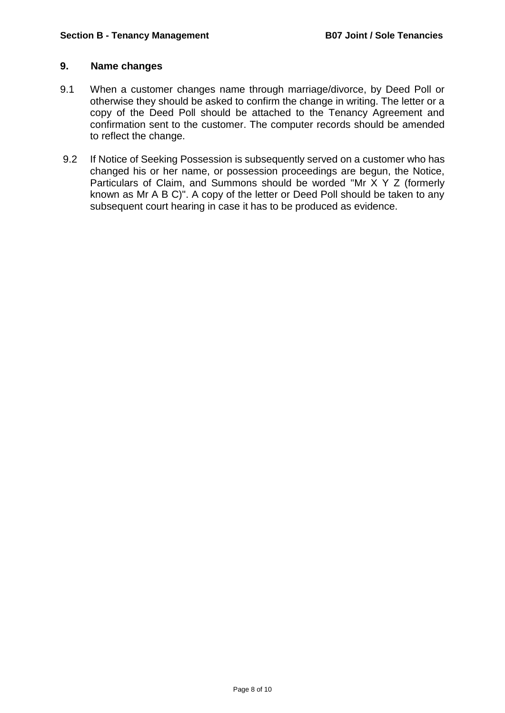# **9. Name changes**

- 9.1 When a customer changes name through marriage/divorce, by Deed Poll or otherwise they should be asked to confirm the change in writing. The letter or a copy of the Deed Poll should be attached to the Tenancy Agreement and confirmation sent to the customer. The computer records should be amended to reflect the change.
- 9.2 If Notice of Seeking Possession is subsequently served on a customer who has changed his or her name, or possession proceedings are begun, the Notice, Particulars of Claim, and Summons should be worded "Mr X Y Z (formerly known as Mr A B C)". A copy of the letter or Deed Poll should be taken to any subsequent court hearing in case it has to be produced as evidence.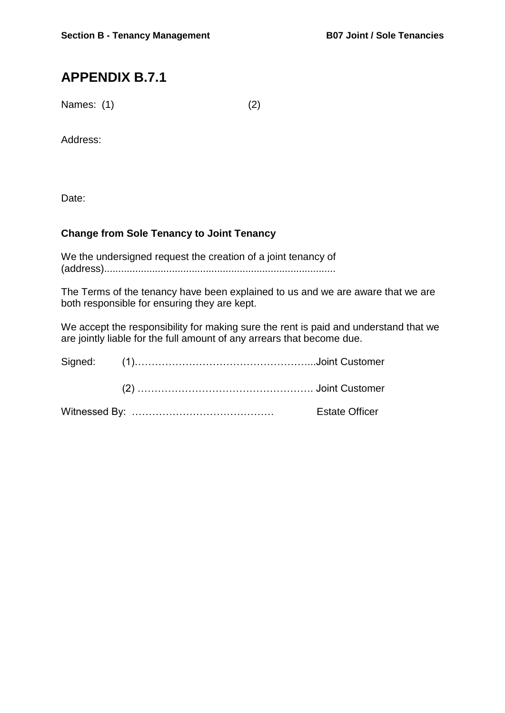# **APPENDIX B.7.1**

Names: (1) (2)

Address:

Date:

# **Change from Sole Tenancy to Joint Tenancy**

We the undersigned request the creation of a joint tenancy of (address)..................................................................................

The Terms of the tenancy have been explained to us and we are aware that we are both responsible for ensuring they are kept.

We accept the responsibility for making sure the rent is paid and understand that we are jointly liable for the full amount of any arrears that become due.

|  | Estate Officer |  |
|--|----------------|--|